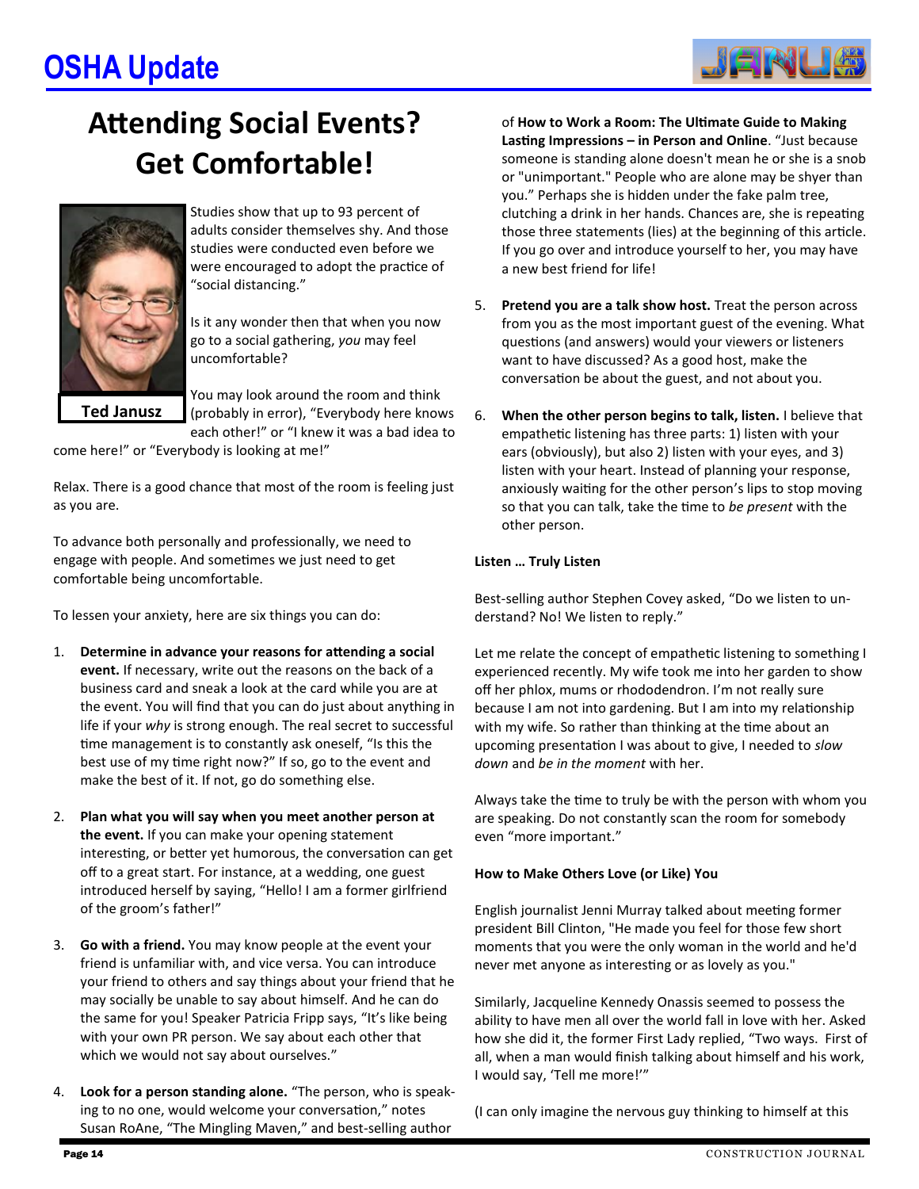# **OSHA Update**



# **Attending Social Events? Get Comfortable!**



Studies show that up to 93 percent of adults consider themselves shy. And those studies were conducted even before we were encouraged to adopt the practice of "social distancing."

Is it any wonder then that when you now go to a social gathering, *you* may feel uncomfortable?

You may look around the room and think (probably in error), "Everybody here knows each other!" or "I knew it was a bad idea to

come here!" or "Everybody is looking at me!"

Relax. There is a good chance that most of the room is feeling just as you are.

To advance both personally and professionally, we need to engage with people. And sometimes we just need to get comfortable being uncomfortable.

To lessen your anxiety, here are six things you can do:

- 1. **Determine in advance your reasons for attending a social event.** If necessary, write out the reasons on the back of a business card and sneak a look at the card while you are at the event. You will find that you can do just about anything in life if your *why* is strong enough. The real secret to successful time management is to constantly ask oneself, "Is this the best use of my time right now?" If so, go to the event and make the best of it. If not, go do something else.
- 2. **Plan what you will say when you meet another person at the event.** If you can make your opening statement interesting, or better yet humorous, the conversation can get off to a great start. For instance, at a wedding, one guest introduced herself by saying, "Hello! I am a former girlfriend of the groom's father!"
- 3. **Go with a friend.** You may know people at the event your friend is unfamiliar with, and vice versa. You can introduce your friend to others and say things about your friend that he may socially be unable to say about himself. And he can do the same for you! Speaker Patricia Fripp says, "It's like being with your own PR person. We say about each other that which we would not say about ourselves."
- 4. **Look for a person standing alone.** "The person, who is speaking to no one, would welcome your conversation," notes Susan RoAne, "The Mingling Maven," and best-selling author

of **How to Work a Room: The Ultimate Guide to Making Lasting Impressions – in Person and Online**. "Just because someone is standing alone doesn't mean he or she is a snob or "unimportant." People who are alone may be shyer than you." Perhaps she is hidden under the fake palm tree, clutching a drink in her hands. Chances are, she is repeating those three statements (lies) at the beginning of this article. If you go over and introduce yourself to her, you may have a new best friend for life!

- 5. **Pretend you are a talk show host.** Treat the person across from you as the most important guest of the evening. What questions (and answers) would your viewers or listeners want to have discussed? As a good host, make the conversation be about the guest, and not about you.
- 6. **When the other person begins to talk, listen.** I believe that empathetic listening has three parts: 1) listen with your ears (obviously), but also 2) listen with your eyes, and 3) listen with your heart. Instead of planning your response, anxiously waiting for the other person's lips to stop moving so that you can talk, take the time to *be present* with the other person.

# **Listen … Truly Listen**

Best-selling author Stephen Covey asked, "Do we listen to understand? No! We listen to reply."

Let me relate the concept of empathetic listening to something I experienced recently. My wife took me into her garden to show off her phlox, mums or rhododendron. I'm not really sure because I am not into gardening. But I am into my relationship with my wife. So rather than thinking at the time about an upcoming presentation I was about to give, I needed to *slow down* and *be in the moment* with her.

Always take the time to truly be with the person with whom you are speaking. Do not constantly scan the room for somebody even "more important."

## **How to Make Others Love (or Like) You**

English journalist Jenni Murray talked about meeting former president Bill Clinton, "He made you feel for those few short moments that you were the only woman in the worl[d a](http://www.dailymail.co.uk/femail/article-2553535/How-feels-fall-spell-Seducer-In-Chief-Vain-amoral-yes-But-four-women-briefly-succumbed-reveal-sheer-power-Bill-Clintons-charm.html)nd he'd never met anyone as interesting or as lovely as you."

Similarly, Jacqueline Kennedy Onassis seemed to possess the ability to have men all over the world fall in love with her. Asked how she did it, the former First Lady replied, "Two ways. First of all, when a man would finish talking about himself and his work, I would say, 'Tell me more!'"

(I can only imagine the nervous guy thinking to himself at this